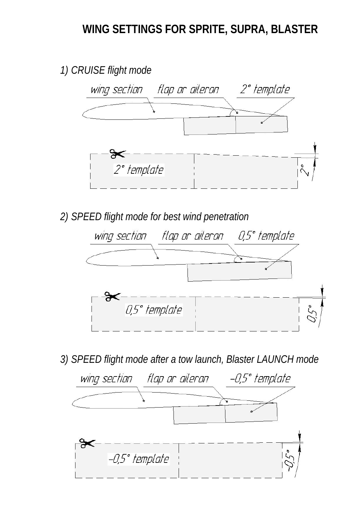# **WING SETTINGS FOR SPRITE, SUPRA, BLASTER**



*2) SPEED flight mode for best wind penetration* 



*3) SPEED flight mode after a tow launch, Blaster LAUNCH mode* 

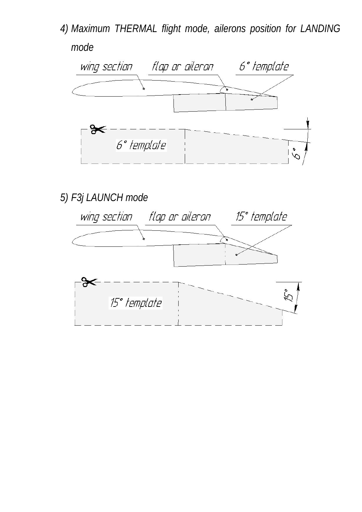*4) Maximum THERMAL flight mode, ailerons position for LANDING mode* 



*5) F3j LAUNCH mode* 

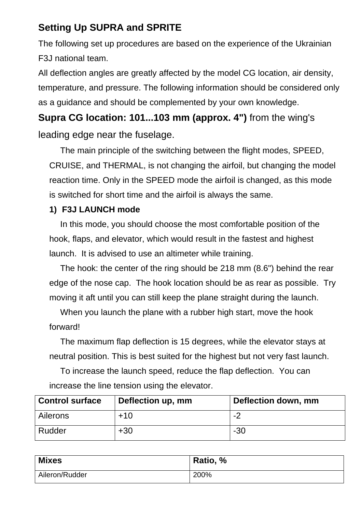## **Setting Up SUPRA and SPRITE**

The following set up procedures are based on the experience of the Ukrainian F3J national team.

All deflection angles are greatly affected by the model CG location, air density, temperature, and pressure. The following information should be considered only as a guidance and should be complemented by your own knowledge.

**Supra CG location: 101...103 mm (approx. 4")** from the wing's leading edge near the fuselage.

The main principle of the switching between the flight modes, SPEED, CRUISE, and THERMAL, is not changing the airfoil, but changing the model reaction time. Only in the SPEED mode the airfoil is changed, as this mode is switched for short time and the airfoil is always the same.

## **1) F3J LAUNCH mode**

In this mode, you should choose the most comfortable position of the hook, flaps, and elevator, which would result in the fastest and highest launch. It is advised to use an altimeter while training.

The hook: the center of the ring should be 218 mm (8.6") behind the rear edge of the nose cap. The hook location should be as rear as possible. Try moving it aft until you can still keep the plane straight during the launch.

When you launch the plane with a rubber high start, move the hook forward!

The maximum flap deflection is 15 degrees, while the elevator stays at neutral position. This is best suited for the highest but not very fast launch.

To increase the launch speed, reduce the flap deflection. You can increase the line tension using the elevator.

| <b>Control surface</b> | Deflection up, mm | Deflection down, mm |  |
|------------------------|-------------------|---------------------|--|
| Ailerons               | $+10$             | -2                  |  |
| Rudder                 | $+30$             | $-30$               |  |

| <b>Mixes</b>   | Ratio, % |
|----------------|----------|
| Aileron/Rudder | 200%     |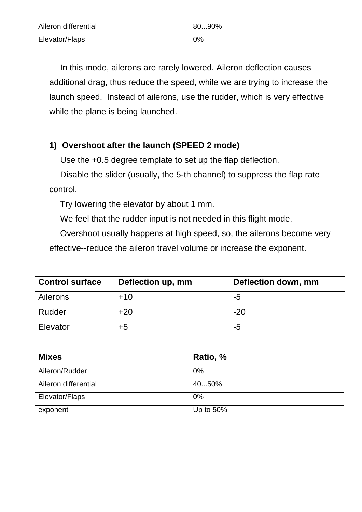| Aileron differential | 8090% |
|----------------------|-------|
| Elevator/Flaps       | $0\%$ |

In this mode, ailerons are rarely lowered. Aileron deflection causes additional drag, thus reduce the speed, while we are trying to increase the launch speed. Instead of ailerons, use the rudder, which is very effective while the plane is being launched.

## **1) Overshoot after the launch (SPEED 2 mode)**

Use the +0.5 degree template to set up the flap deflection.

Disable the slider (usually, the 5-th channel) to suppress the flap rate control.

Try lowering the elevator by about 1 mm.

We feel that the rudder input is not needed in this flight mode.

Overshoot usually happens at high speed, so, the ailerons become very

effective--reduce the aileron travel volume or increase the exponent.

| <b>Control surface</b> | Deflection up, mm | Deflection down, mm |  |
|------------------------|-------------------|---------------------|--|
| <b>Ailerons</b>        | $+10$             | -5                  |  |
| Rudder                 | $+20$             | $-20$               |  |
| Elevator               | +5                | -5                  |  |

| <b>Mixes</b>         | Ratio, %  |
|----------------------|-----------|
| Aileron/Rudder       | 0%        |
| Aileron differential | 4050%     |
| Elevator/Flaps       | 0%        |
| exponent             | Up to 50% |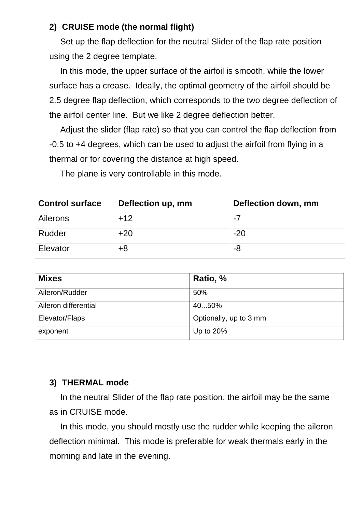#### **2) CRUISE mode (the normal flight)**

Set up the flap deflection for the neutral Slider of the flap rate position using the 2 degree template.

In this mode, the upper surface of the airfoil is smooth, while the lower surface has a crease. Ideally, the optimal geometry of the airfoil should be 2.5 degree flap deflection, which corresponds to the two degree deflection of the airfoil center line. But we like 2 degree deflection better.

Adjust the slider (flap rate) so that you can control the flap deflection from -0.5 to +4 degrees, which can be used to adjust the airfoil from flying in a thermal or for covering the distance at high speed.

The plane is very controllable in this mode.

| <b>Control surface</b> | Deflection down, mm<br>Deflection up, mm |       |
|------------------------|------------------------------------------|-------|
| <b>Ailerons</b>        | $+12$                                    | $-7$  |
| Rudder                 | $+20$                                    | $-20$ |
| Elevator               | +8                                       | -8    |

| <b>Mixes</b>         | Ratio, %               |
|----------------------|------------------------|
| Aileron/Rudder       | 50%                    |
| Aileron differential | 4050%                  |
| Elevator/Flaps       | Optionally, up to 3 mm |
| exponent             | Up to $20\%$           |

#### **3) THERMAL mode**

In the neutral Slider of the flap rate position, the airfoil may be the same as in CRUISE mode.

In this mode, you should mostly use the rudder while keeping the aileron deflection minimal. This mode is preferable for weak thermals early in the morning and late in the evening.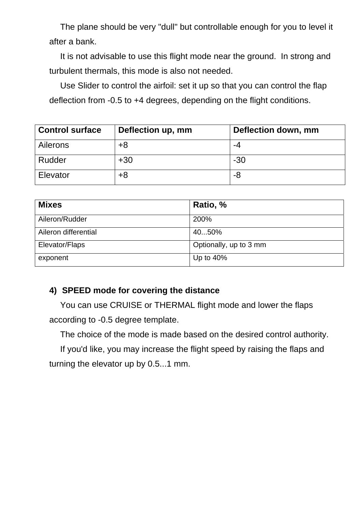The plane should be very "dull" but controllable enough for you to level it after a bank.

It is not advisable to use this flight mode near the ground. In strong and turbulent thermals, this mode is also not needed.

Use Slider to control the airfoil: set it up so that you can control the flap deflection from -0.5 to +4 degrees, depending on the flight conditions.

| <b>Control surface</b> | Deflection up, mm | Deflection down, mm |  |
|------------------------|-------------------|---------------------|--|
| <b>Ailerons</b>        | $+8$              | -4                  |  |
| Rudder                 | $+30$             | $-30$               |  |
| Elevator               | +8                | -8                  |  |

| <b>Mixes</b>         | Ratio, %               |
|----------------------|------------------------|
| Aileron/Rudder       | 200%                   |
| Aileron differential | 4050%                  |
| Elevator/Flaps       | Optionally, up to 3 mm |
| exponent             | Up to $40\%$           |

## **4) SPEED mode for covering the distance**

You can use CRUISE or THERMAL flight mode and lower the flaps according to -0.5 degree template.

The choice of the mode is made based on the desired control authority.

If you'd like, you may increase the flight speed by raising the flaps and turning the elevator up by 0.5...1 mm.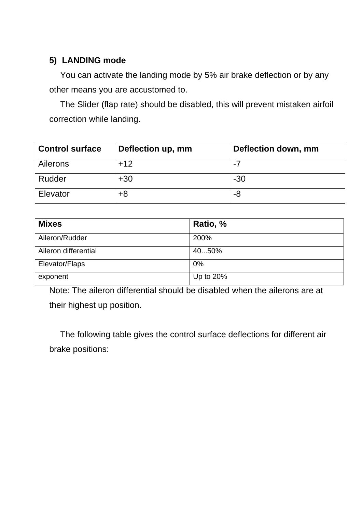## **5) LANDING mode**

You can activate the landing mode by 5% air brake deflection or by any other means you are accustomed to.

The Slider (flap rate) should be disabled, this will prevent mistaken airfoil correction while landing.

| <b>Control surface</b> | Deflection up, mm | Deflection down, mm |  |
|------------------------|-------------------|---------------------|--|
| <b>Ailerons</b>        | $+12$             | $-7$                |  |
| Rudder                 | $+30$             | $-30$               |  |
| Elevator               | +8                | -8                  |  |

| <b>Mixes</b>         | Ratio, %  |
|----------------------|-----------|
| Aileron/Rudder       | 200%      |
| Aileron differential | 4050%     |
| Elevator/Flaps       | 0%        |
| exponent             | Up to 20% |

Note: The aileron differential should be disabled when the ailerons are at their highest up position.

The following table gives the control surface deflections for different air brake positions: